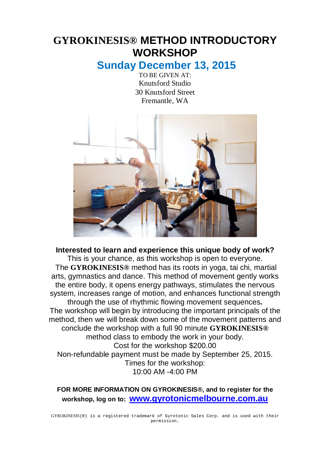# **GYROKINESIS® METHOD INTRODUCTORY WORKSHOP**

## **Sunday December 13, 2015**

TO BE GIVEN AT: Knutsford Studio 30 Knutsford Street Fremantle, WA



## **Interested to learn and experience this unique body of work?**

This is your chance, as this workshop is open to everyone. The **GYROKINESIS®** method has its roots in yoga, tai chi, martial arts, gymnastics and dance. This method of movement gently works the entire body, it opens energy pathways, stimulates the nervous system, increases range of motion, and enhances functional strength through the use of rhythmic flowing movement sequences**.**  The workshop will begin by introducing the important principals of the method, then we will break down some of the movement patterns and conclude the workshop with a full 90 minute **GYROKINESIS®** method class to embody the work in your body. Cost for the workshop \$200.00 Non-refundable payment must be made by September 25, 2015. Times for the workshop: 10:00 AM -4:00 PM

### **FOR MORE INFORMATION ON GYROKINESIS®, and to register for the workshop, log on to: www.gyrotonicmelbourne.com.au**

GYROKINESIS(R) is a registered trademark of Gyrotonic Sales Corp. and is used with their permission.